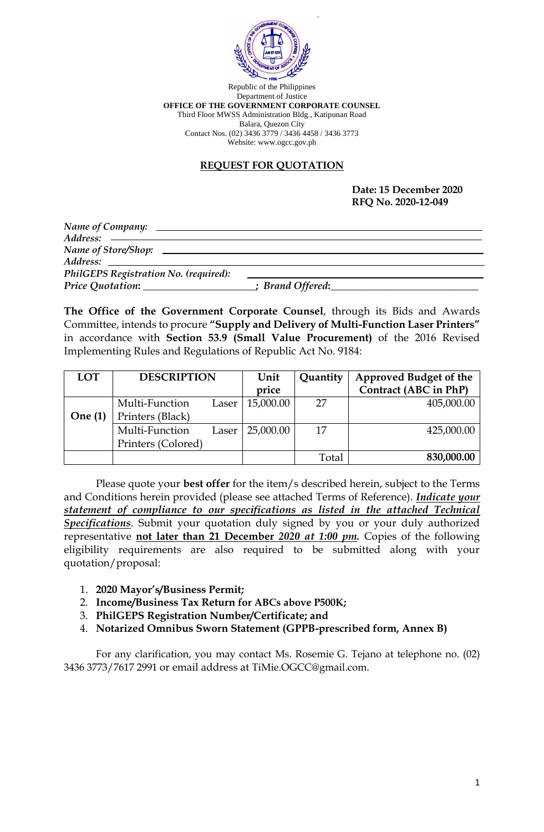

Republic of the Philippines Department of Justice **OFFICE OF THE GOVERNMENT CORPORATE COUNSEL** Third Floor MWSS Administration Bldg., Katipunan Road Balara, Quezon City Contact Nos. (02) 3436 3779 / 3436 4458 / 3436 3773 Website: www.ogcc.gov.ph

## **REQUEST FOR QUOTATION**

#### **Date: 15 December 2020 RFQ No. 2020-12-049**

| Address: ————————————————————                   |                   |
|-------------------------------------------------|-------------------|
|                                                 |                   |
|                                                 |                   |
| PhilGEPS Registration No. (required):           |                   |
| Price Quotation: <u>_______________________</u> | ; Brand Offered:_ |

**The Office of the Government Corporate Counsel**, through its Bids and Awards Committee, intends to procure **"Supply and Delivery of Multi-Function Laser Printers"** in accordance with **Section 53.9 (Small Value Procurement)** of the 2016 Revised Implementing Rules and Regulations of Republic Act No. 9184:

| <b>LOT</b> | <b>DESCRIPTION</b> |       | Unit      | Quantity | <b>Approved Budget of the</b> |
|------------|--------------------|-------|-----------|----------|-------------------------------|
|            |                    |       | price     |          | Contract (ABC in PhP)         |
|            | Multi-Function     | Laser | 15,000.00 | 27       | 405,000.00                    |
| One $(1)$  | Printers (Black)   |       |           |          |                               |
|            | Multi-Function     | Laser | 25,000.00 | 17       | 425,000.00                    |
|            | Printers (Colored) |       |           |          |                               |
|            |                    |       |           | Total    | 830,000.00                    |

Please quote your **best offer** for the item/s described herein, subject to the Terms and Conditions herein provided (please see attached Terms of Reference). *Indicate your statement of compliance to our specifications as listed in the attached Technical Specifications*. Submit your quotation duly signed by you or your duly authorized representative **not later than 21 December** *2020 at 1:00 pm.* Copies of the following eligibility requirements are also required to be submitted along with your quotation/proposal:

- 1. **2020 Mayor's/Business Permit;**
- 2. **Income/Business Tax Return for ABCs above P500K;**
- 3. **PhilGEPS Registration Number/Certificate; and**
- 4. **Notarized Omnibus Sworn Statement (GPPB-prescribed form, Annex B)**

For any clarification, you may contact Ms. Rosemie G. Tejano at telephone no. (02) 3436 3773/7617 2991 or email address at TiMie.OGCC@gmail.com.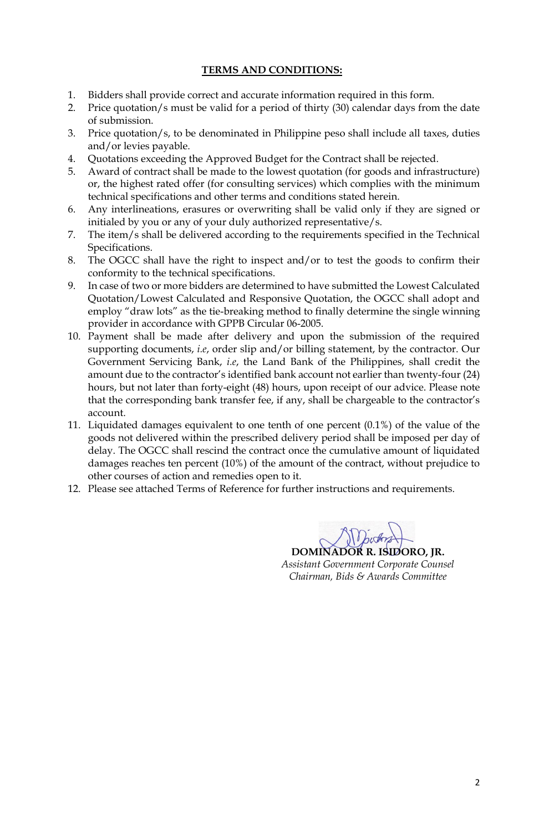## **TERMS AND CONDITIONS:**

- 1. Bidders shall provide correct and accurate information required in this form.
- 2. Price quotation/s must be valid for a period of thirty (30) calendar days from the date of submission.
- 3. Price quotation/s, to be denominated in Philippine peso shall include all taxes, duties and/or levies payable.
- 4. Quotations exceeding the Approved Budget for the Contract shall be rejected.
- 5. Award of contract shall be made to the lowest quotation (for goods and infrastructure) or, the highest rated offer (for consulting services) which complies with the minimum technical specifications and other terms and conditions stated herein.
- 6. Any interlineations, erasures or overwriting shall be valid only if they are signed or initialed by you or any of your duly authorized representative/s.
- 7. The item/s shall be delivered according to the requirements specified in the Technical Specifications.
- 8. The OGCC shall have the right to inspect and/or to test the goods to confirm their conformity to the technical specifications.
- 9. In case of two or more bidders are determined to have submitted the Lowest Calculated Quotation/Lowest Calculated and Responsive Quotation, the OGCC shall adopt and employ "draw lots" as the tie-breaking method to finally determine the single winning provider in accordance with GPPB Circular 06-2005.
- 10. Payment shall be made after delivery and upon the submission of the required supporting documents, *i.e*, order slip and/or billing statement, by the contractor. Our Government Servicing Bank, *i.e*, the Land Bank of the Philippines, shall credit the amount due to the contractor's identified bank account not earlier than twenty-four (24) hours, but not later than forty-eight (48) hours, upon receipt of our advice. Please note that the corresponding bank transfer fee, if any, shall be chargeable to the contractor's account.
- 11. Liquidated damages equivalent to one tenth of one percent (0.1%) of the value of the goods not delivered within the prescribed delivery period shall be imposed per day of delay. The OGCC shall rescind the contract once the cumulative amount of liquidated damages reaches ten percent (10%) of the amount of the contract, without prejudice to other courses of action and remedies open to it.
- 12. Please see attached Terms of Reference for further instructions and requirements.

**DOMINADOR R. ISIDORO, JR.** *Assistant Government Corporate Counsel Chairman, Bids & Awards Committee*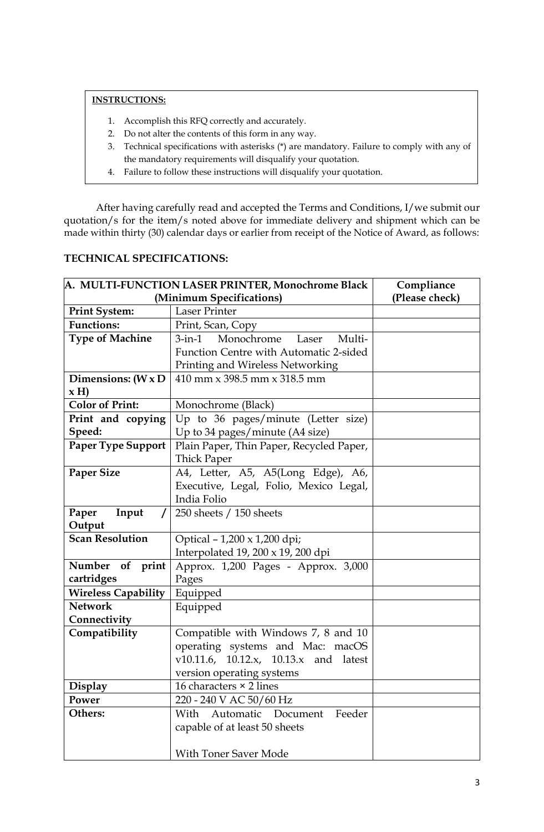## **INSTRUCTIONS:**

- 1. Accomplish this RFQ correctly and accurately.
- 2. Do not alter the contents of this form in any way.
- 3. Technical specifications with asterisks (\*) are mandatory. Failure to comply with any of the mandatory requirements will disqualify your quotation.
- 4. Failure to follow these instructions will disqualify your quotation.

After having carefully read and accepted the Terms and Conditions, I/we submit our quotation/s for the item/s noted above for immediate delivery and shipment which can be made within thirty (30) calendar days or earlier from receipt of the Notice of Award, as follows:

| <b>A. MULTI-FUNCTION LASER PRINTER, Monochrome Black</b> |                                               | Compliance     |
|----------------------------------------------------------|-----------------------------------------------|----------------|
| (Minimum Specifications)                                 |                                               | (Please check) |
| <b>Print System:</b>                                     | <b>Laser Printer</b>                          |                |
| <b>Functions:</b>                                        | Print, Scan, Copy                             |                |
| <b>Type of Machine</b>                                   | Monochrome<br>Laser<br>Multi-<br>$3$ -in- $1$ |                |
|                                                          | Function Centre with Automatic 2-sided        |                |
|                                                          | Printing and Wireless Networking              |                |
| Dimensions: $(W \times D)$                               | 410 mm x 398.5 mm x 318.5 mm                  |                |
| x H                                                      |                                               |                |
| <b>Color of Print:</b>                                   | Monochrome (Black)                            |                |
| Print and copying                                        | Up to 36 pages/minute (Letter size)           |                |
| Speed:                                                   | Up to 34 pages/minute (A4 size)               |                |
| <b>Paper Type Support</b>                                | Plain Paper, Thin Paper, Recycled Paper,      |                |
|                                                          | <b>Thick Paper</b>                            |                |
| <b>Paper Size</b>                                        | A4, Letter, A5, A5(Long Edge), A6,            |                |
|                                                          | Executive, Legal, Folio, Mexico Legal,        |                |
|                                                          | India Folio                                   |                |
| Paper<br>Input                                           | 250 sheets $/$ 150 sheets                     |                |
| Output                                                   |                                               |                |
| <b>Scan Resolution</b>                                   | Optical - 1,200 x 1,200 dpi;                  |                |
|                                                          | Interpolated 19, 200 $\times$ 19, 200 dpi     |                |
| Number of print                                          | Approx. 1,200 Pages - Approx. 3,000           |                |
| cartridges                                               | Pages                                         |                |
| <b>Wireless Capability</b>                               | Equipped                                      |                |
| <b>Network</b>                                           | Equipped                                      |                |
| Connectivity                                             |                                               |                |
| Compatibility                                            | Compatible with Windows 7, 8 and 10           |                |
|                                                          | operating systems and Mac: macOS              |                |
|                                                          | v10.11.6, $10.12.x$ , $10.13.x$ and latest    |                |
|                                                          | version operating systems                     |                |
| <b>Display</b>                                           | 16 characters $\times$ 2 lines                |                |
| Power                                                    | 220 - 240 V AC 50/60 Hz                       |                |
| Others:                                                  | Automatic Document<br>Feeder<br>With          |                |
|                                                          | capable of at least 50 sheets                 |                |
|                                                          |                                               |                |
|                                                          | <b>With Toner Saver Mode</b>                  |                |

## **TECHNICAL SPECIFICATIONS:**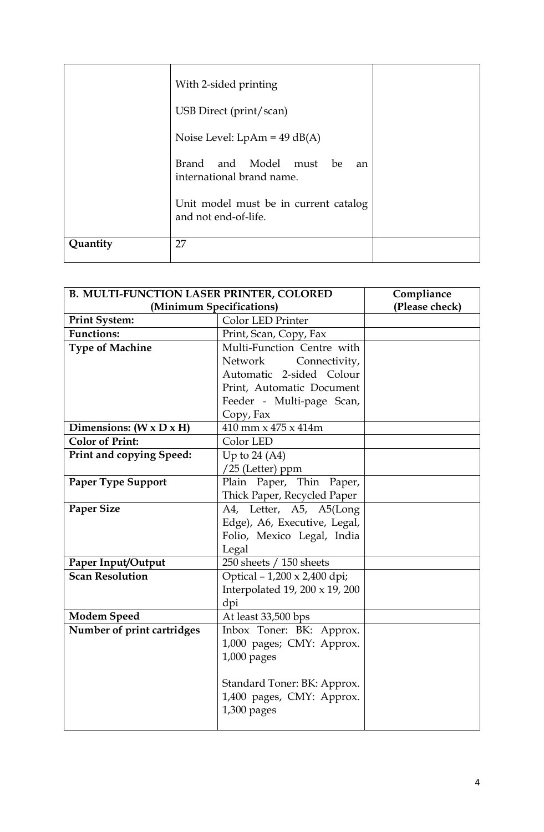|          | With 2-sided printing                                         |  |
|----------|---------------------------------------------------------------|--|
|          | USB Direct (print/scan)                                       |  |
|          | Noise Level: $LpAm = 49 dB(A)$                                |  |
|          | Brand and Model must be<br>an<br>international brand name.    |  |
|          | Unit model must be in current catalog<br>and not end-of-life. |  |
| Quantity | 27                                                            |  |

| <b>B. MULTI-FUNCTION LASER PRINTER, COLORED</b> |                                | Compliance     |
|-------------------------------------------------|--------------------------------|----------------|
| (Minimum Specifications)                        |                                | (Please check) |
| <b>Print System:</b>                            | <b>Color LED Printer</b>       |                |
| <b>Functions:</b>                               | Print, Scan, Copy, Fax         |                |
| <b>Type of Machine</b>                          | Multi-Function Centre with     |                |
|                                                 | Network<br>Connectivity,       |                |
|                                                 | Automatic 2-sided Colour       |                |
|                                                 | Print, Automatic Document      |                |
|                                                 | Feeder - Multi-page Scan,      |                |
|                                                 | Copy, Fax                      |                |
| Dimensions: $(W \times D \times H)$             | 410 mm x 475 x 414m            |                |
| <b>Color of Print:</b>                          | Color LED                      |                |
| <b>Print and copying Speed:</b>                 | Up to $24(A4)$                 |                |
|                                                 | $/25$ (Letter) ppm             |                |
| <b>Paper Type Support</b>                       | Plain Paper, Thin Paper,       |                |
|                                                 | Thick Paper, Recycled Paper    |                |
| <b>Paper Size</b>                               | A4, Letter, A5, A5(Long        |                |
|                                                 | Edge), A6, Executive, Legal,   |                |
|                                                 | Folio, Mexico Legal, India     |                |
|                                                 | Legal                          |                |
| Paper Input/Output                              | 250 sheets / 150 sheets        |                |
| <b>Scan Resolution</b>                          | Optical - 1,200 x 2,400 dpi;   |                |
|                                                 | Interpolated 19, 200 x 19, 200 |                |
|                                                 | dpi                            |                |
| <b>Modem Speed</b>                              | At least 33,500 bps            |                |
| Number of print cartridges                      | Inbox Toner: BK: Approx.       |                |
|                                                 | 1,000 pages; CMY: Approx.      |                |
|                                                 | $1,000$ pages                  |                |
|                                                 |                                |                |
|                                                 | Standard Toner: BK: Approx.    |                |
|                                                 | 1,400 pages, CMY: Approx.      |                |
|                                                 | $1,300$ pages                  |                |
|                                                 |                                |                |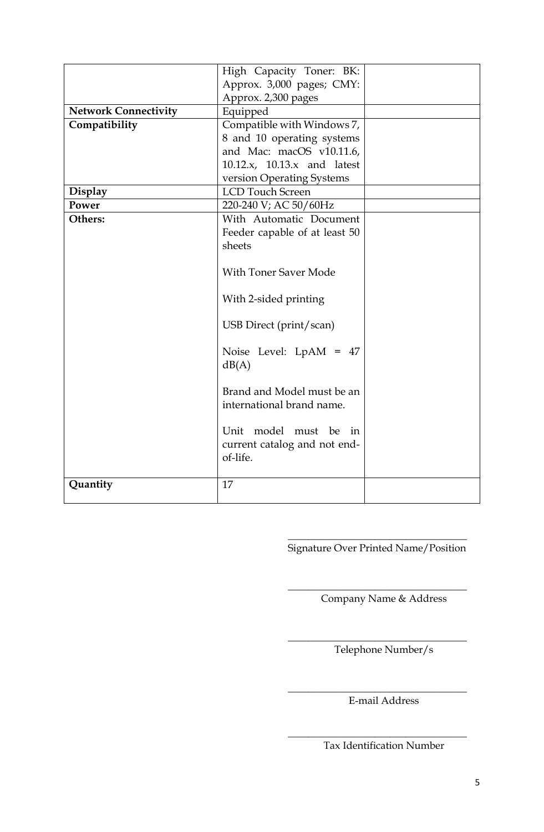|                             | High Capacity Toner: BK:      |  |
|-----------------------------|-------------------------------|--|
|                             | Approx. 3,000 pages; CMY:     |  |
|                             | Approx. 2,300 pages           |  |
| <b>Network Connectivity</b> | Equipped                      |  |
| Compatibility               | Compatible with Windows 7,    |  |
|                             | 8 and 10 operating systems    |  |
|                             | and Mac: macOS v10.11.6,      |  |
|                             | 10.12.x, 10.13.x and latest   |  |
|                             | version Operating Systems     |  |
| <b>Display</b>              | <b>LCD Touch Screen</b>       |  |
| Power                       | 220-240 V; AC 50/60Hz         |  |
| Others:                     | With Automatic Document       |  |
|                             | Feeder capable of at least 50 |  |
|                             | sheets                        |  |
|                             |                               |  |
|                             | <b>With Toner Saver Mode</b>  |  |
|                             |                               |  |
|                             | With 2-sided printing         |  |
|                             |                               |  |
|                             | USB Direct (print/scan)       |  |
|                             |                               |  |
|                             | Noise Level: LpAM = 47        |  |
|                             | dB(A)                         |  |
|                             | Brand and Model must be an    |  |
|                             | international brand name.     |  |
|                             |                               |  |
|                             | Unit model must be in         |  |
|                             | current catalog and not end-  |  |
|                             | of-life.                      |  |
|                             |                               |  |
| Quantity                    | 17                            |  |
|                             |                               |  |

\_\_\_\_\_\_\_\_\_\_\_\_\_\_\_\_\_\_\_\_\_\_\_\_\_\_\_\_\_\_\_\_\_\_\_ Signature Over Printed Name/Position

\_\_\_\_\_\_\_\_\_\_\_\_\_\_\_\_\_\_\_\_\_\_\_\_\_\_\_\_\_\_\_\_\_\_\_ Company Name & Address

Telephone Number/s

\_\_\_\_\_\_\_\_\_\_\_\_\_\_\_\_\_\_\_\_\_\_\_\_\_\_\_\_\_\_\_\_\_\_\_

\_\_\_\_\_\_\_\_\_\_\_\_\_\_\_\_\_\_\_\_\_\_\_\_\_\_\_\_\_\_\_\_\_\_\_ E-mail Address

Tax Identification Number

\_\_\_\_\_\_\_\_\_\_\_\_\_\_\_\_\_\_\_\_\_\_\_\_\_\_\_\_\_\_\_\_\_\_\_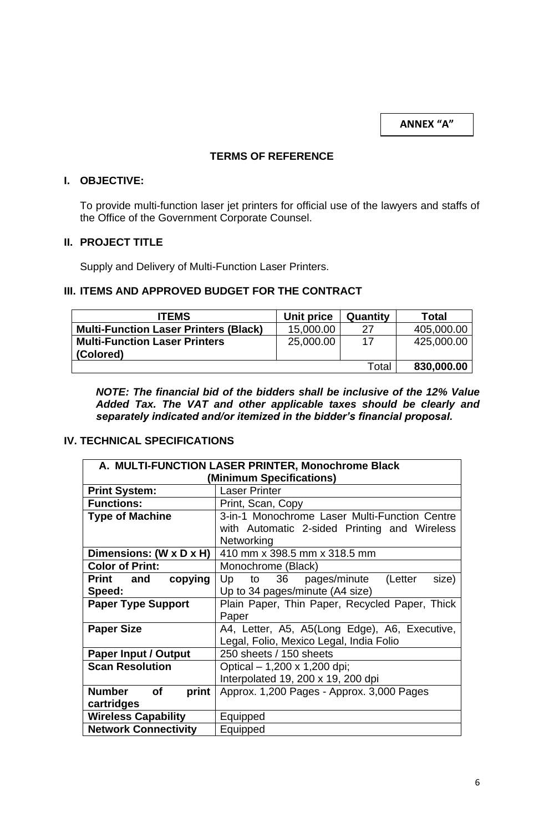**ANNEX "A"**

## **TERMS OF REFERENCE**

## **I. OBJECTIVE:**

To provide multi-function laser jet printers for official use of the lawyers and staffs of the Office of the Government Corporate Counsel.

## **II. PROJECT TITLE**

Supply and Delivery of Multi-Function Laser Printers.

# **III. ITEMS AND APPROVED BUDGET FOR THE CONTRACT**

| <b>ITEMS</b>                                 | Unit price | <b>Quantity</b> | <b>Total</b> |
|----------------------------------------------|------------|-----------------|--------------|
| <b>Multi-Function Laser Printers (Black)</b> | 15,000.00  | 27              | 405,000.00   |
| <b>Multi-Function Laser Printers</b>         | 25,000.00  | 17              | 425,000.00   |
| (Colored)                                    |            |                 |              |
|                                              |            | Total           | 830,000.00   |

*NOTE: The financial bid of the bidders shall be inclusive of the 12% Value Added Tax. The VAT and other applicable taxes should be clearly and separately indicated and/or itemized in the bidder's financial proposal.*

# **IV. TECHNICAL SPECIFICATIONS**

| A. MULTI-FUNCTION LASER PRINTER, Monochrome Black |                                                    |  |
|---------------------------------------------------|----------------------------------------------------|--|
| (Minimum Specifications)                          |                                                    |  |
| <b>Print System:</b>                              | <b>Laser Printer</b>                               |  |
| <b>Functions:</b>                                 | Print, Scan, Copy                                  |  |
| <b>Type of Machine</b>                            | 3-in-1 Monochrome Laser Multi-Function Centre      |  |
|                                                   | with Automatic 2-sided Printing and Wireless       |  |
|                                                   | Networking                                         |  |
| Dimensions: (W x D x H)                           | 410 mm x 398.5 mm x 318.5 mm                       |  |
| <b>Color of Print:</b>                            | Monochrome (Black)                                 |  |
| copying<br>Print and                              | size)<br>Up<br>36<br>pages/minute<br>(Letter<br>to |  |
| Speed:                                            | Up to 34 pages/minute (A4 size)                    |  |
| <b>Paper Type Support</b>                         | Plain Paper, Thin Paper, Recycled Paper, Thick     |  |
|                                                   | Paper                                              |  |
| <b>Paper Size</b>                                 | A4, Letter, A5, A5(Long Edge), A6, Executive,      |  |
|                                                   | Legal, Folio, Mexico Legal, India Folio            |  |
| <b>Paper Input / Output</b>                       | 250 sheets / 150 sheets                            |  |
| <b>Scan Resolution</b>                            | Optical - 1,200 x 1,200 dpi;                       |  |
|                                                   | Interpolated 19, 200 x 19, 200 dpi                 |  |
| <b>Number</b><br><b>of</b><br>print               | Approx. 1,200 Pages - Approx. 3,000 Pages          |  |
| cartridges                                        |                                                    |  |
| <b>Wireless Capability</b>                        | Equipped                                           |  |
| <b>Network Connectivity</b>                       | Equipped                                           |  |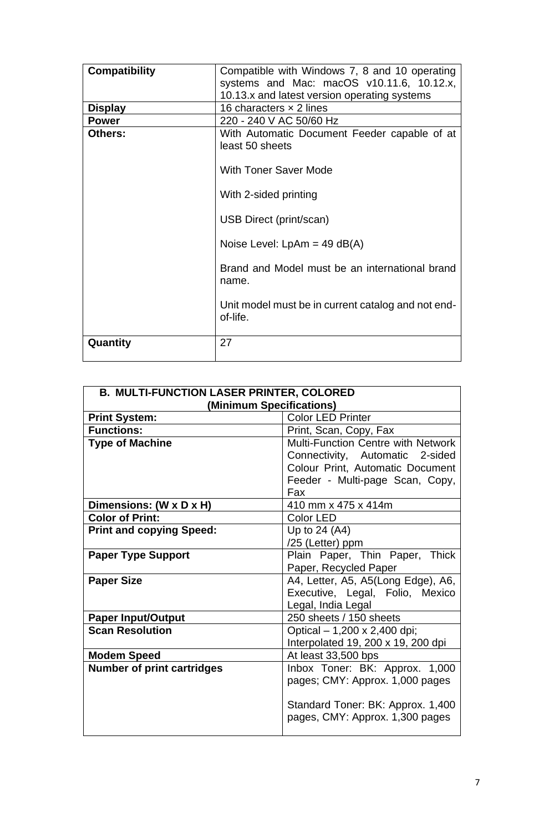| <b>Compatibility</b> | Compatible with Windows 7, 8 and 10 operating      |  |
|----------------------|----------------------------------------------------|--|
|                      | systems and Mac: macOS v10.11.6, 10.12.x,          |  |
|                      | 10.13.x and latest version operating systems       |  |
| <b>Display</b>       | 16 characters $\times$ 2 lines                     |  |
| <b>Power</b>         | 220 - 240 V AC 50/60 Hz                            |  |
| <b>Others:</b>       | With Automatic Document Feeder capable of at       |  |
|                      | least 50 sheets                                    |  |
|                      |                                                    |  |
|                      | <b>With Toner Saver Mode</b>                       |  |
|                      |                                                    |  |
|                      | With 2-sided printing                              |  |
|                      |                                                    |  |
|                      | USB Direct (print/scan)                            |  |
|                      |                                                    |  |
|                      | Noise Level: $LpAm = 49 dB(A)$                     |  |
|                      | Brand and Model must be an international brand     |  |
|                      |                                                    |  |
|                      | name.                                              |  |
|                      | Unit model must be in current catalog and not end- |  |
|                      | of-life.                                           |  |
|                      |                                                    |  |
| Quantity             | 27                                                 |  |
|                      |                                                    |  |
|                      |                                                    |  |

| <b>B. MULTI-FUNCTION LASER PRINTER, COLORED</b> |                                           |  |
|-------------------------------------------------|-------------------------------------------|--|
| (Minimum Specifications)                        |                                           |  |
| <b>Print System:</b>                            | <b>Color LED Printer</b>                  |  |
| <b>Functions:</b>                               | Print, Scan, Copy, Fax                    |  |
| <b>Type of Machine</b>                          | <b>Multi-Function Centre with Network</b> |  |
|                                                 | Connectivity, Automatic 2-sided           |  |
|                                                 | Colour Print, Automatic Document          |  |
|                                                 | Feeder - Multi-page Scan, Copy,           |  |
|                                                 | Fax                                       |  |
| Dimensions: (W x D x H)                         | 410 mm x 475 x 414m                       |  |
| <b>Color of Print:</b>                          | Color LED                                 |  |
| <b>Print and copying Speed:</b>                 | Up to $24(A4)$                            |  |
|                                                 | /25 (Letter) ppm                          |  |
| <b>Paper Type Support</b>                       | Plain Paper, Thin Paper, Thick            |  |
|                                                 | Paper, Recycled Paper                     |  |
| <b>Paper Size</b>                               | A4, Letter, A5, A5(Long Edge), A6,        |  |
|                                                 | Executive, Legal, Folio, Mexico           |  |
|                                                 | Legal, India Legal                        |  |
| <b>Paper Input/Output</b>                       | 250 sheets / 150 sheets                   |  |
| <b>Scan Resolution</b>                          | Optical – 1,200 x 2,400 dpi;              |  |
|                                                 | Interpolated 19, 200 x 19, 200 dpi        |  |
| <b>Modem Speed</b>                              | At least 33,500 bps                       |  |
| <b>Number of print cartridges</b>               | Inbox Toner: BK: Approx. 1,000            |  |
|                                                 | pages; CMY: Approx. 1,000 pages           |  |
|                                                 |                                           |  |
|                                                 | Standard Toner: BK: Approx. 1,400         |  |
|                                                 | pages, CMY: Approx. 1,300 pages           |  |
|                                                 |                                           |  |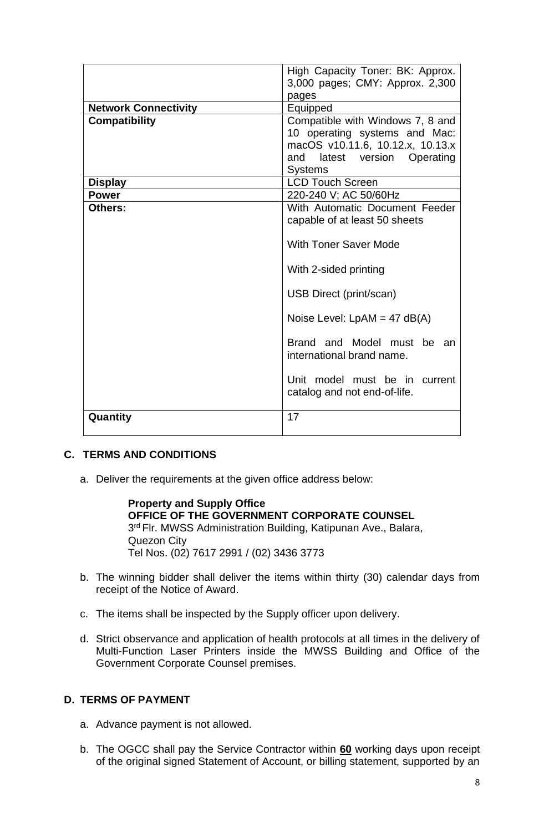|                             | High Capacity Toner: BK: Approx.                                 |  |  |
|-----------------------------|------------------------------------------------------------------|--|--|
|                             | 3,000 pages; CMY: Approx. 2,300                                  |  |  |
|                             | pages                                                            |  |  |
| <b>Network Connectivity</b> | Equipped                                                         |  |  |
| <b>Compatibility</b>        | Compatible with Windows 7, 8 and                                 |  |  |
|                             | 10 operating systems and Mac:                                    |  |  |
|                             | macOS v10.11.6, 10.12.x, 10.13.x                                 |  |  |
|                             | latest version Operating<br>and                                  |  |  |
|                             | <b>Systems</b>                                                   |  |  |
| <b>Display</b>              | <b>LCD Touch Screen</b>                                          |  |  |
| <b>Power</b>                | 220-240 V; AC 50/60Hz                                            |  |  |
| Others:                     | With Automatic Document Feeder                                   |  |  |
|                             | capable of at least 50 sheets                                    |  |  |
|                             |                                                                  |  |  |
|                             | <b>With Toner Saver Mode</b>                                     |  |  |
|                             | With 2-sided printing                                            |  |  |
|                             | USB Direct (print/scan)                                          |  |  |
|                             | Noise Level: $LpAM = 47 dB(A)$                                   |  |  |
|                             | Brand and Model must be an<br>international brand name.          |  |  |
|                             | Unit model must be in<br>current<br>catalog and not end-of-life. |  |  |
| Quantity                    | 17                                                               |  |  |

# **C. TERMS AND CONDITIONS**

a. Deliver the requirements at the given office address below:

**Property and Supply Office OFFICE OF THE GOVERNMENT CORPORATE COUNSEL** 3<sup>rd</sup> Flr. MWSS Administration Building, Katipunan Ave., Balara, Quezon City Tel Nos. (02) 7617 2991 / (02) 3436 3773

- b. The winning bidder shall deliver the items within thirty (30) calendar days from receipt of the Notice of Award.
- c. The items shall be inspected by the Supply officer upon delivery.
- d. Strict observance and application of health protocols at all times in the delivery of Multi-Function Laser Printers inside the MWSS Building and Office of the Government Corporate Counsel premises.

#### **D. TERMS OF PAYMENT**

- a. Advance payment is not allowed.
- b. The OGCC shall pay the Service Contractor within **60** working days upon receipt of the original signed Statement of Account, or billing statement, supported by an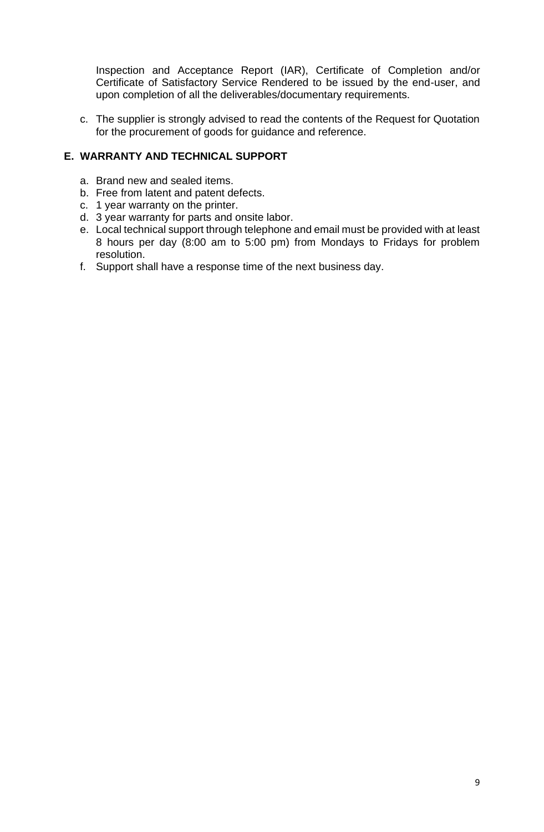Inspection and Acceptance Report (IAR), Certificate of Completion and/or Certificate of Satisfactory Service Rendered to be issued by the end-user, and upon completion of all the deliverables/documentary requirements.

c. The supplier is strongly advised to read the contents of the Request for Quotation for the procurement of goods for guidance and reference.

# **E. WARRANTY AND TECHNICAL SUPPORT**

- a. Brand new and sealed items.
- b. Free from latent and patent defects.
- c. 1 year warranty on the printer.
- d. 3 year warranty for parts and onsite labor.
- e. Local technical support through telephone and email must be provided with at least 8 hours per day (8:00 am to 5:00 pm) from Mondays to Fridays for problem resolution.
- f. Support shall have a response time of the next business day.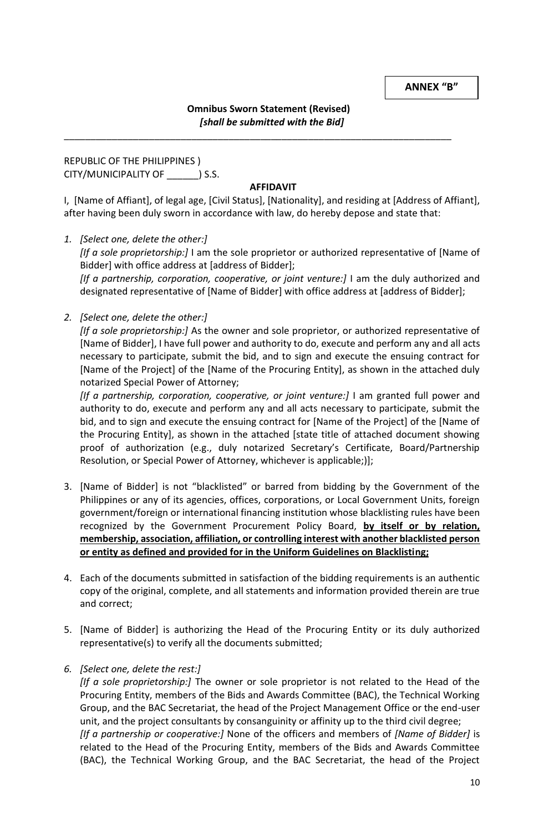**ANNEX "B"**

## **Omnibus Sworn Statement (Revised)** *[shall be submitted with the Bid]*

\_\_\_\_\_\_\_\_\_\_\_\_\_\_\_\_\_\_\_\_\_\_\_\_\_\_\_\_\_\_\_\_\_\_\_\_\_\_\_\_\_\_\_\_\_\_\_\_\_\_\_\_\_\_\_\_\_\_\_\_\_\_\_\_\_\_\_\_\_\_\_\_\_

REPUBLIC OF THE PHILIPPINES ) CITY/MUNICIPALITY OF \_\_\_\_\_\_) S.S.

### **AFFIDAVIT**

I, [Name of Affiant], of legal age, [Civil Status], [Nationality], and residing at [Address of Affiant], after having been duly sworn in accordance with law, do hereby depose and state that:

*1. [Select one, delete the other:]*

*[If a sole proprietorship:]* I am the sole proprietor or authorized representative of [Name of Bidder] with office address at [address of Bidder];

[If a partnership, corporation, cooperative, or joint venture:] I am the duly authorized and designated representative of [Name of Bidder] with office address at [address of Bidder];

*2. [Select one, delete the other:]*

*[If a sole proprietorship:]* As the owner and sole proprietor, or authorized representative of [Name of Bidder], I have full power and authority to do, execute and perform any and all acts necessary to participate, submit the bid, and to sign and execute the ensuing contract for [Name of the Project] of the [Name of the Procuring Entity], as shown in the attached duly notarized Special Power of Attorney;

[If a partnership, corporation, cooperative, or joint venture:] I am granted full power and authority to do, execute and perform any and all acts necessary to participate, submit the bid, and to sign and execute the ensuing contract for [Name of the Project] of the [Name of the Procuring Entity], as shown in the attached [state title of attached document showing proof of authorization (e.g., duly notarized Secretary's Certificate, Board/Partnership Resolution, or Special Power of Attorney, whichever is applicable;)];

- 3. [Name of Bidder] is not "blacklisted" or barred from bidding by the Government of the Philippines or any of its agencies, offices, corporations, or Local Government Units, foreign government/foreign or international financing institution whose blacklisting rules have been recognized by the Government Procurement Policy Board, **by itself or by relation, membership, association, affiliation, or controlling interest with another blacklisted person or entity as defined and provided for in the Uniform Guidelines on Blacklisting;**
- 4. Each of the documents submitted in satisfaction of the bidding requirements is an authentic copy of the original, complete, and all statements and information provided therein are true and correct;
- 5. [Name of Bidder] is authorizing the Head of the Procuring Entity or its duly authorized representative(s) to verify all the documents submitted;
- *6. [Select one, delete the rest:]*

*[If a sole proprietorship:]* The owner or sole proprietor is not related to the Head of the Procuring Entity, members of the Bids and Awards Committee (BAC), the Technical Working Group, and the BAC Secretariat, the head of the Project Management Office or the end-user unit, and the project consultants by consanguinity or affinity up to the third civil degree; *[If a partnership or cooperative:]* None of the officers and members of *[Name of Bidder]* is related to the Head of the Procuring Entity, members of the Bids and Awards Committee (BAC), the Technical Working Group, and the BAC Secretariat, the head of the Project